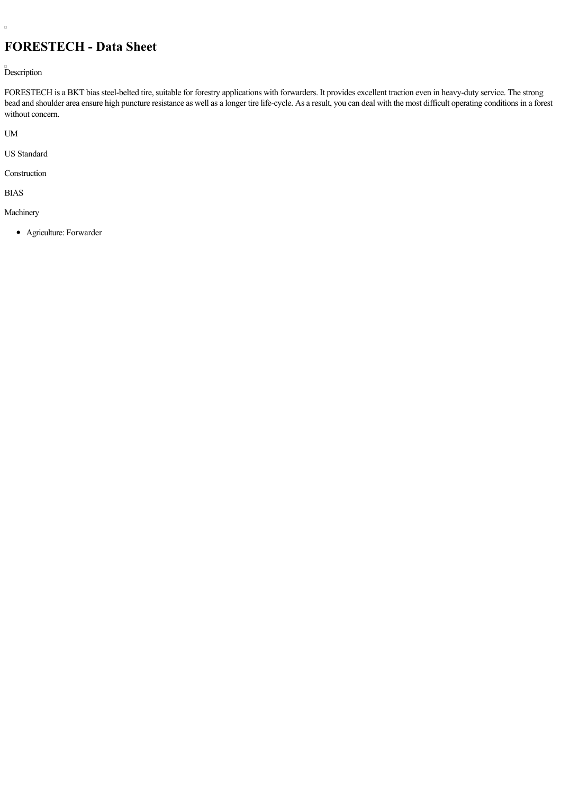## **FORESTECH - Data Sheet**

Description

FORESTECH is a BKT bias steel-belted tire, suitable for forestry applications with forwarders. It provides excellent traction even in heavy-duty service. The strong bead and shoulder area ensure high puncture resistance as well as a longer tire life-cycle. As a result, you can deal with the most difficult operating conditions in a forest without concern.

UM

 $\Box$ 

US Standard

Construction

BIAS

Machinery

Agriculture: Forwarder